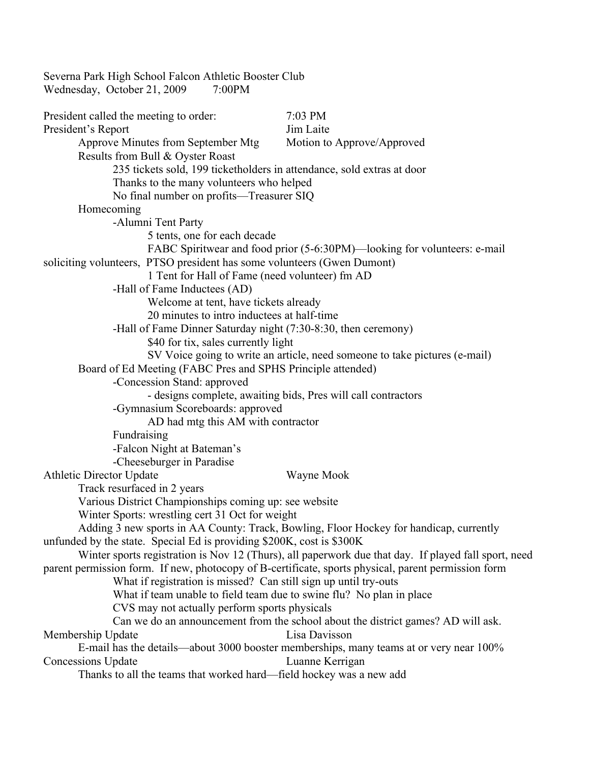Severna Park High School Falcon Athletic Booster Club Wednesday, October 21, 2009 7:00PM President called the meeting to order: 7:03 PM President's Report Jim Laite Approve Minutes from September Mtg Motion to Approve/Approved Results from Bull & Oyster Roast 235 tickets sold, 199 ticketholders in attendance, sold extras at door Thanks to the many volunteers who helped No final number on profits—Treasurer SIQ Homecoming -Alumni Tent Party 5 tents, one for each decade FABC Spiritwear and food prior (5-6:30PM)—looking for volunteers: e-mail soliciting volunteers, PTSO president has some volunteers (Gwen Dumont) 1 Tent for Hall of Fame (need volunteer) fm AD -Hall of Fame Inductees (AD) Welcome at tent, have tickets already 20 minutes to intro inductees at half-time -Hall of Fame Dinner Saturday night (7:30-8:30, then ceremony) \$40 for tix, sales currently light SV Voice going to write an article, need someone to take pictures (e-mail) Board of Ed Meeting (FABC Pres and SPHS Principle attended) -Concession Stand: approved - designs complete, awaiting bids, Pres will call contractors -Gymnasium Scoreboards: approved AD had mtg this AM with contractor Fundraising -Falcon Night at Bateman's -Cheeseburger in Paradise Athletic Director Update Wayne Mook Track resurfaced in 2 years Various District Championships coming up: see website Winter Sports: wrestling cert 31 Oct for weight Adding 3 new sports in AA County: Track, Bowling, Floor Hockey for handicap, currently unfunded by the state. Special Ed is providing \$200K, cost is \$300K Winter sports registration is Nov 12 (Thurs), all paperwork due that day. If played fall sport, need parent permission form. If new, photocopy of B-certificate, sports physical, parent permission form What if registration is missed? Can still sign up until try-outs What if team unable to field team due to swine flu? No plan in place CVS may not actually perform sports physicals Can we do an announcement from the school about the district games? AD will ask. Membership Update Lisa Davisson E-mail has the details—about 3000 booster memberships, many teams at or very near 100% Concessions Update Luanne Kerrigan Thanks to all the teams that worked hard—field hockey was a new add